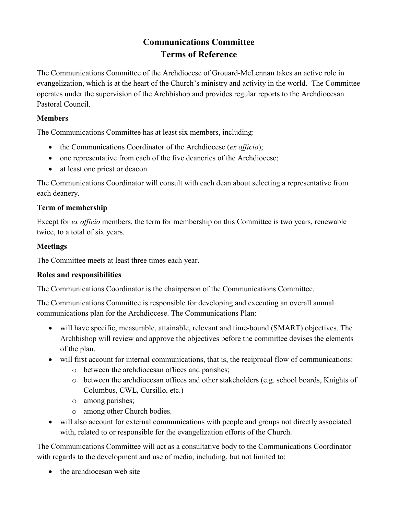# **Communications Committee Terms of Reference**

The Communications Committee of the Archdiocese of Grouard-McLennan takes an active role in evangelization, which is at the heart of the Church's ministry and activity in the world. The Committee operates under the supervision of the Archbishop and provides regular reports to the Archdiocesan Pastoral Council.

## **Members**

The Communications Committee has at least six members, including:

- the Communications Coordinator of the Archdiocese (*ex officio*);
- one representative from each of the five deaneries of the Archdiocese;
- at least one priest or deacon.

The Communications Coordinator will consult with each dean about selecting a representative from each deanery.

### **Term of membership**

Except for *ex officio* members, the term for membership on this Committee is two years, renewable twice, to a total of six years.

### **Meetings**

The Committee meets at least three times each year.

#### **Roles and responsibilities**

The Communications Coordinator is the chairperson of the Communications Committee.

The Communications Committee is responsible for developing and executing an overall annual communications plan for the Archdiocese. The Communications Plan:

- will have specific, measurable, attainable, relevant and time-bound (SMART) objectives. The Archbishop will review and approve the objectives before the committee devises the elements of the plan.
- will first account for internal communications, that is, the reciprocal flow of communications:
	- o between the archdiocesan offices and parishes;
	- o between the archdiocesan offices and other stakeholders (e.g. school boards, Knights of Columbus, CWL, Cursillo, etc.)
	- o among parishes;
	- o among other Church bodies.
- will also account for external communications with people and groups not directly associated with, related to or responsible for the evangelization efforts of the Church.

The Communications Committee will act as a consultative body to the Communications Coordinator with regards to the development and use of media, including, but not limited to:

• the archdiocesan web site